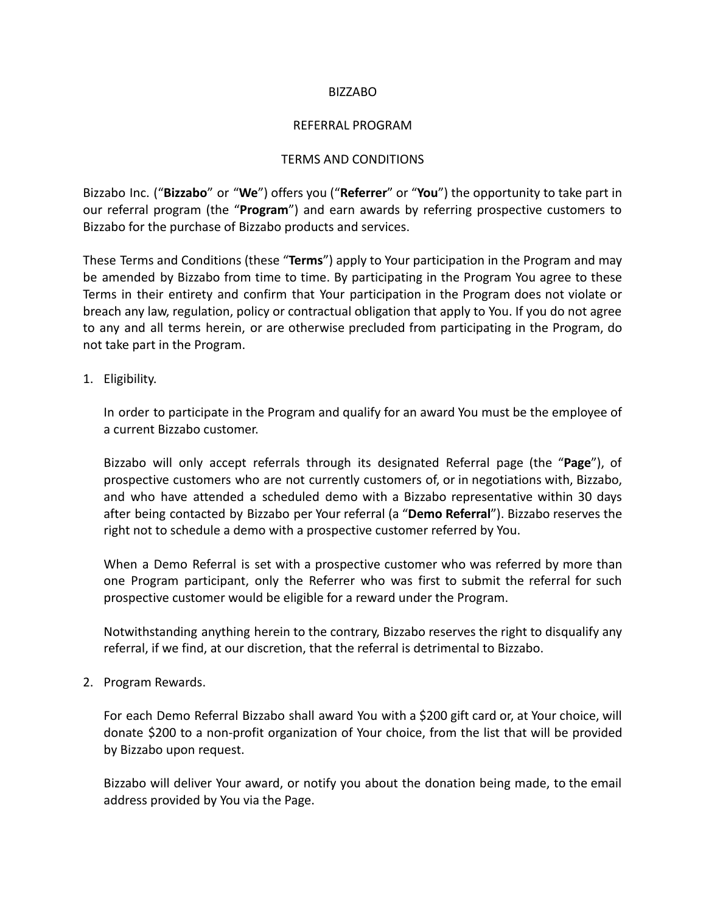## BIZZABO

## REFERRAL PROGRAM

## TERMS AND CONDITIONS

Bizzabo Inc. ("**Bizzabo**" or "**We**") offers you ("**Referrer**" or "**You**") the opportunity to take part in our referral program (the "**Program**") and earn awards by referring prospective customers to Bizzabo for the purchase of Bizzabo products and services.

These Terms and Conditions (these "**Terms**") apply to Your participation in the Program and may be amended by Bizzabo from time to time. By participating in the Program You agree to these Terms in their entirety and confirm that Your participation in the Program does not violate or breach any law, regulation, policy or contractual obligation that apply to You. If you do not agree to any and all terms herein, or are otherwise precluded from participating in the Program, do not take part in the Program.

## 1. Eligibility.

In order to participate in the Program and qualify for an award You must be the employee of a current Bizzabo customer.

Bizzabo will only accept referrals through its designated Referral page (the "**Page**"), of prospective customers who are not currently customers of, or in negotiations with, Bizzabo, and who have attended a scheduled demo with a Bizzabo representative within 30 days after being contacted by Bizzabo per Your referral (a "**Demo Referral**"). Bizzabo reserves the right not to schedule a demo with a prospective customer referred by You.

When a Demo Referral is set with a prospective customer who was referred by more than one Program participant, only the Referrer who was first to submit the referral for such prospective customer would be eligible for a reward under the Program.

Notwithstanding anything herein to the contrary, Bizzabo reserves the right to disqualify any referral, if we find, at our discretion, that the referral is detrimental to Bizzabo.

2. Program Rewards.

For each Demo Referral Bizzabo shall award You with a \$200 gift card or, at Your choice, will donate \$200 to a non-profit organization of Your choice, from the list that will be provided by Bizzabo upon request.

Bizzabo will deliver Your award, or notify you about the donation being made, to the email address provided by You via the Page.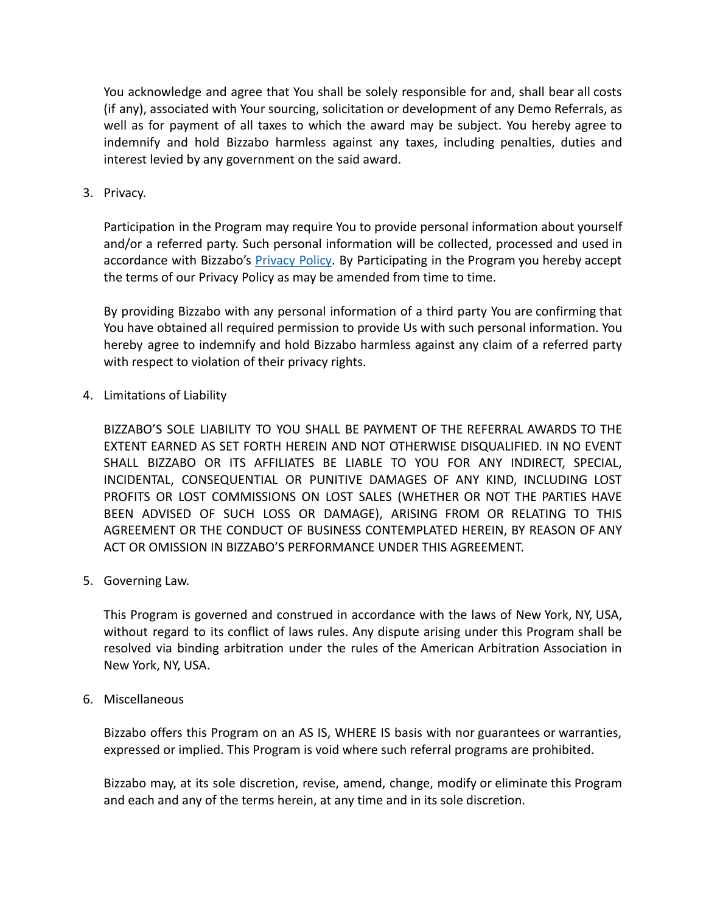You acknowledge and agree that You shall be solely responsible for and, shall bear all costs (if any), associated with Your sourcing, solicitation or development of any Demo Referrals, as well as for payment of all taxes to which the award may be subject. You hereby agree to indemnify and hold Bizzabo harmless against any taxes, including penalties, duties and interest levied by any government on the said award.

3. Privacy.

Participation in the Program may require You to provide personal information about yourself and/or a referred party. Such personal information will be collected, processed and used in accordance with Bizzabo's [Privacy](https://www.bizzabo.com/privacy) Policy. By Participating in the Program you hereby accept the terms of our Privacy Policy as may be amended from time to time.

By providing Bizzabo with any personal information of a third party You are confirming that You have obtained all required permission to provide Us with such personal information. You hereby agree to indemnify and hold Bizzabo harmless against any claim of a referred party with respect to violation of their privacy rights.

4. Limitations of Liability

BIZZABO'S SOLE LIABILITY TO YOU SHALL BE PAYMENT OF THE REFERRAL AWARDS TO THE EXTENT EARNED AS SET FORTH HEREIN AND NOT OTHERWISE DISQUALIFIED. IN NO EVENT SHALL BIZZABO OR ITS AFFILIATES BE LIABLE TO YOU FOR ANY INDIRECT, SPECIAL, INCIDENTAL, CONSEQUENTIAL OR PUNITIVE DAMAGES OF ANY KIND, INCLUDING LOST PROFITS OR LOST COMMISSIONS ON LOST SALES (WHETHER OR NOT THE PARTIES HAVE BEEN ADVISED OF SUCH LOSS OR DAMAGE), ARISING FROM OR RELATING TO THIS AGREEMENT OR THE CONDUCT OF BUSINESS CONTEMPLATED HEREIN, BY REASON OF ANY ACT OR OMISSION IN BIZZABO'S PERFORMANCE UNDER THIS AGREEMENT.

5. Governing Law.

This Program is governed and construed in accordance with the laws of New York, NY, USA, without regard to its conflict of laws rules. Any dispute arising under this Program shall be resolved via binding arbitration under the rules of the American Arbitration Association in New York, NY, USA.

6. Miscellaneous

Bizzabo offers this Program on an AS IS, WHERE IS basis with nor guarantees or warranties, expressed or implied. This Program is void where such referral programs are prohibited.

Bizzabo may, at its sole discretion, revise, amend, change, modify or eliminate this Program and each and any of the terms herein, at any time and in its sole discretion.